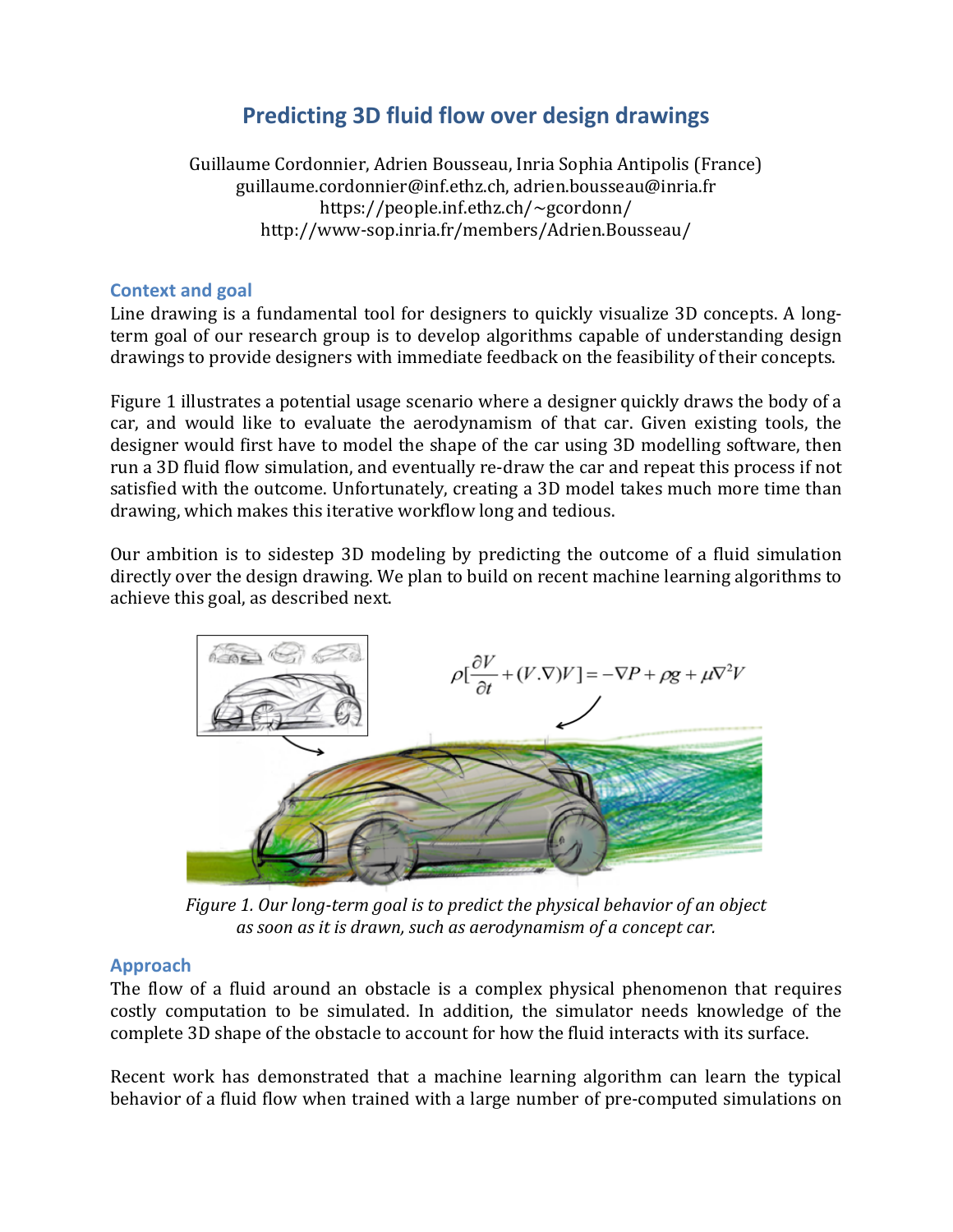# **Predicting 3D fluid flow over design drawings**

Guillaume Cordonnier, Adrien Bousseau, Inria Sophia Antipolis (France) guillaume.cordonnier@inf.ethz.ch, adrien.bousseau@inria.fr https://people.inf.ethz.ch/~gcordonn/ http://www-sop.inria.fr/members/Adrien.Bousseau/

## **Context and goal**

Line drawing is a fundamental tool for designers to quickly visualize 3D concepts. A longterm goal of our research group is to develop algorithms capable of understanding design drawings to provide designers with immediate feedback on the feasibility of their concepts.

Figure 1 illustrates a potential usage scenario where a designer quickly draws the body of a car, and would like to evaluate the aerodynamism of that car. Given existing tools, the designer would first have to model the shape of the car using 3D modelling software, then run a 3D fluid flow simulation, and eventually re-draw the car and repeat this process if not satisfied with the outcome. Unfortunately, creating a 3D model takes much more time than drawing, which makes this iterative workflow long and tedious.

Our ambition is to sidestep 3D modeling by predicting the outcome of a fluid simulation directly over the design drawing. We plan to build on recent machine learning algorithms to achieve this goal, as described next.



*Figure 1. Our long-term goal is to predict the physical behavior of an object* as soon as it is drawn, such as aerodynamism of a concept car.

# **Approach**

The flow of a fluid around an obstacle is a complex physical phenomenon that requires costly computation to be simulated. In addition, the simulator needs knowledge of the complete 3D shape of the obstacle to account for how the fluid interacts with its surface.

Recent work has demonstrated that a machine learning algorithm can learn the typical behavior of a fluid flow when trained with a large number of pre-computed simulations on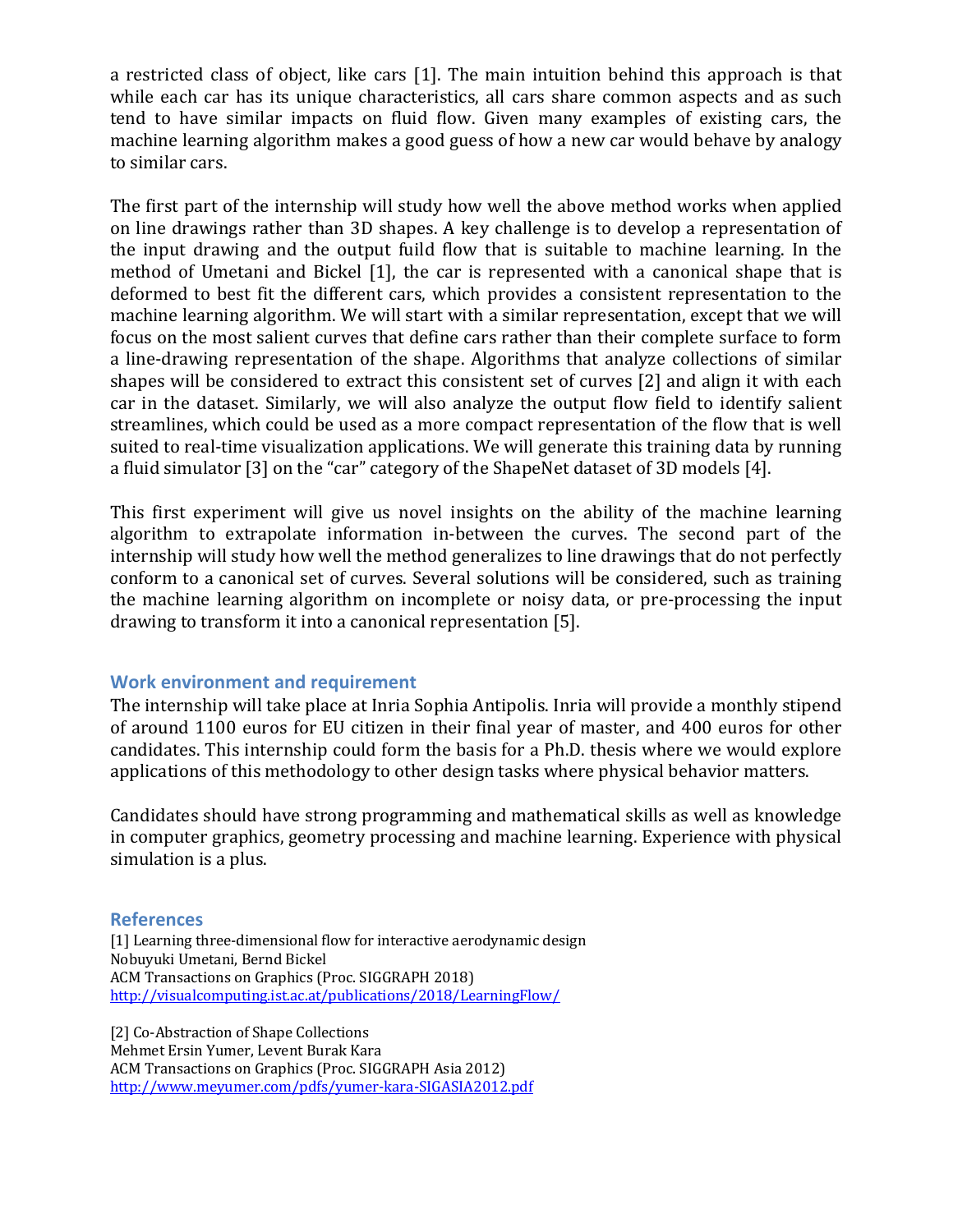a restricted class of object, like cars  $[1]$ . The main intuition behind this approach is that while each car has its unique characteristics, all cars share common aspects and as such tend to have similar impacts on fluid flow. Given many examples of existing cars, the machine learning algorithm makes a good guess of how a new car would behave by analogy to similar cars.

The first part of the internship will study how well the above method works when applied on line drawings rather than 3D shapes. A key challenge is to develop a representation of the input drawing and the output fuild flow that is suitable to machine learning. In the method of Umetani and Bickel [1], the car is represented with a canonical shape that is deformed to best fit the different cars, which provides a consistent representation to the machine learning algorithm. We will start with a similar representation, except that we will focus on the most salient curves that define cars rather than their complete surface to form a line-drawing representation of the shape. Algorithms that analyze collections of similar shapes will be considered to extract this consistent set of curves [2] and align it with each car in the dataset. Similarly, we will also analyze the output flow field to identify salient streamlines, which could be used as a more compact representation of the flow that is well suited to real-time visualization applications. We will generate this training data by running a fluid simulator [3] on the "car" category of the ShapeNet dataset of 3D models [4].

This first experiment will give us novel insights on the ability of the machine learning algorithm to extrapolate information in-between the curves. The second part of the internship will study how well the method generalizes to line drawings that do not perfectly conform to a canonical set of curves. Several solutions will be considered, such as training the machine learning algorithm on incomplete or noisy data, or pre-processing the input drawing to transform it into a canonical representation [5].

### **Work environment and requirement**

The internship will take place at Inria Sophia Antipolis. Inria will provide a monthly stipend of around 1100 euros for EU citizen in their final year of master, and 400 euros for other candidates. This internship could form the basis for a Ph.D. thesis where we would explore applications of this methodology to other design tasks where physical behavior matters.

Candidates should have strong programming and mathematical skills as well as knowledge in computer graphics, geometry processing and machine learning. Experience with physical simulation is a plus.

#### **References**

[1] Learning three-dimensional flow for interactive aerodynamic design Nobuyuki Umetani, Bernd Bickel ACM Transactions on Graphics (Proc. SIGGRAPH 2018) http://visualcomputing.ist.ac.at/publications/2018/LearningFlow/

[2] Co-Abstraction of Shape Collections Mehmet Ersin Yumer, Levent Burak Kara ACM Transactions on Graphics (Proc. SIGGRAPH Asia 2012) http://www.meyumer.com/pdfs/yumer-kara-SIGASIA2012.pdf